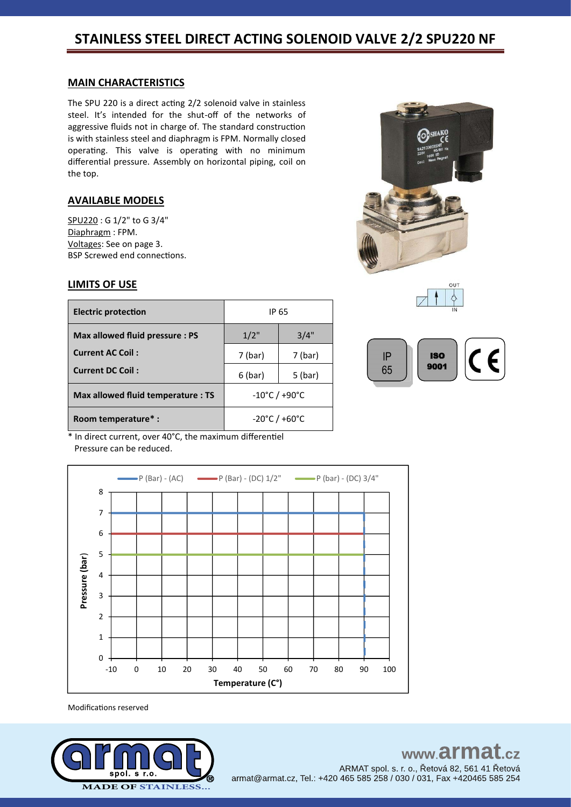#### **MAIN CHARACTERISTICS**

The SPU 220 is a direct acting 2/2 solenoid valve in stainless steel. It's intended for the shut-off of the networks of aggressive fluids not in charge of. The standard construction is with stainless steel and diaphragm is FPM. Normally closed operating. This valve is operating with no minimum differential pressure. Assembly on horizontal piping, coil on the top.

### **AVAILABLE MODELS**

SPU220 : G 1/2" to G 3/4" Diaphragm : FPM. Voltages: See on page 3. BSP Screwed end connections.

#### **LIMITS OF USE**

| <b>Electric protection</b>         | IP 65                              |         |  |
|------------------------------------|------------------------------------|---------|--|
| Max allowed fluid pressure: PS     | 1/2"                               | 3/4"    |  |
| <b>Current AC Coil:</b>            | 7 (bar)                            | 7 (bar) |  |
| <b>Current DC Coil:</b>            | $6$ (bar)                          | 5 (bar) |  |
| Max allowed fluid temperature : TS | $-10^{\circ}$ C / +90 $^{\circ}$ C |         |  |
| Room temperature*:                 | $-20^{\circ}$ C / +60 $^{\circ}$ C |         |  |







\* In direct current, over 40°C, the maximum differentiel Pressure can be reduced.



Modifications reserved

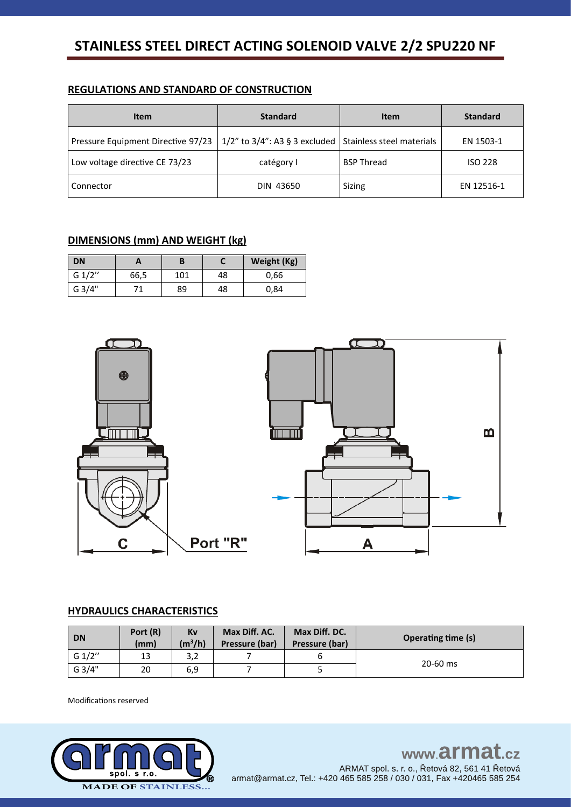# **STAINLESS STEEL DIRECT ACTING SOLENOID VALVE 2/2 SPU220 NF**

## **REGULATIONS AND STANDARD OF CONSTRUCTION**

| <b>Item</b>                        | <b>Standard</b>                     | <b>Item</b>               | <b>Standard</b> |
|------------------------------------|-------------------------------------|---------------------------|-----------------|
| Pressure Equipment Directive 97/23 | $1/2$ " to $3/4$ ": A3 § 3 excluded | Stainless steel materials | EN 1503-1       |
| Low voltage directive CE 73/23     | catégory I                          | <b>BSP Thread</b>         | <b>ISO 228</b>  |
| Connector                          | DIN 43650                           | Sizing                    | EN 12516-1      |

## **DIMENSIONS (mm) AND WEIGHT (kg)**

| <b>DN</b> | A    | B   |    | Weight (Kg) |
|-----------|------|-----|----|-------------|
| G 1/2"    | 66,5 | 101 | 48 | 0,66        |
| G 3/4"    |      | 89  | 48 | 0,84        |



## **HYDRAULICS CHARACTERISTICS**

| <b>DN</b> | Port (R)<br>(mm) | Kv<br>$(m^3/h)$ | Max Diff. AC.<br>Pressure (bar) | Max Diff. DC.<br>Pressure (bar) | <b>Operating time (s)</b> |  |
|-----------|------------------|-----------------|---------------------------------|---------------------------------|---------------------------|--|
| G $1/2"$  | 13               | 3,2             |                                 |                                 |                           |  |
| G 3/4"    | 20               | 6,9             |                                 | ٮ                               | 20-60 ms                  |  |

Modifications reserved

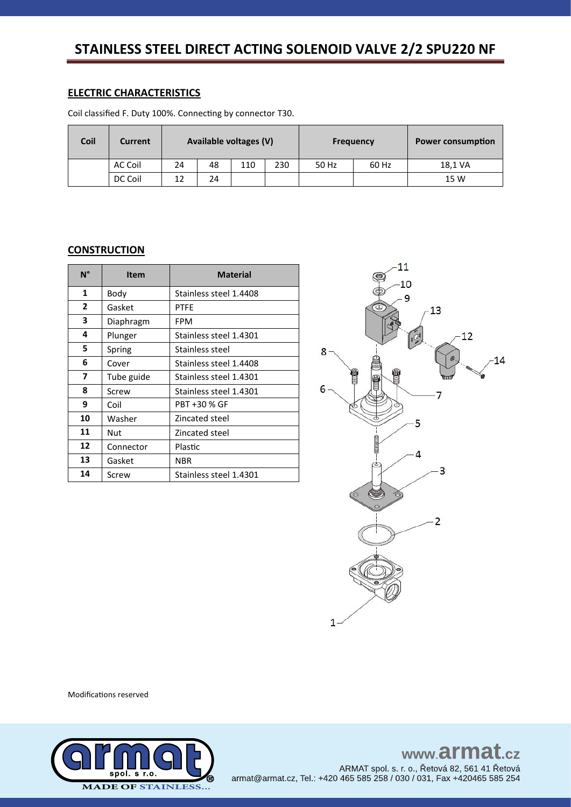# STAINLESS STEEL DIRECT ACTING SOLENOID VALVE 2/2 SPU220 NF

### **ELECTRIC CHARACTERISTICS**

Coil classified F. Duty 100%. Connecting by connector T30.

| Coil | Current | Available voltages (V) |    |     | <b>Frequency</b> |       | <b>Power consumption</b> |         |
|------|---------|------------------------|----|-----|------------------|-------|--------------------------|---------|
|      | AC Coil | 24                     | 48 | 110 | 230              | 50 Hz | 60 Hz                    | 18,1 VA |
|      | DC Coil |                        | 24 |     |                  |       |                          | 15 W    |

### **CONSTRUCTION**

| N°           | <b>Item</b> | <b>Material</b>        |  |  |  |  |
|--------------|-------------|------------------------|--|--|--|--|
| 1            | Body        | Stainless steel 1.4408 |  |  |  |  |
| $\mathbf{2}$ | Gasket      | <b>PTFE</b>            |  |  |  |  |
| 3            | Diaphragm   | FPM                    |  |  |  |  |
| 4            | Plunger     | Stainless steel 1.4301 |  |  |  |  |
| 5            | Spring      | Stainless steel        |  |  |  |  |
| 6            | Cover       | Stainless steel 1.4408 |  |  |  |  |
| 7            | Tube guide  | Stainless steel 1.4301 |  |  |  |  |
| 8            | Screw       | Stainless steel 1.4301 |  |  |  |  |
| 9            | Coil        | PBT +30 % GF           |  |  |  |  |
| 10           | Washer      | Zincated steel         |  |  |  |  |
| 11           | Nut         | Zincated steel         |  |  |  |  |
| 12           | Connector   | Plastic                |  |  |  |  |
| 13           | Gasket      | <b>NBR</b>             |  |  |  |  |
| 14           | Screw       | Stainless steel 1.4301 |  |  |  |  |



**Modifications reserved** 



www.armat.cz ARMAT spol. s. r. o., Řetová 82, 561 41 Řetová armat@armat.cz, Tel.: +420 465 585 258 / 030 / 031, Fax +420465 585 254